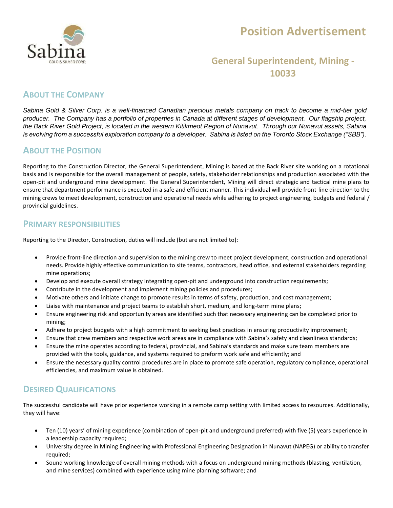

# **Position Advertisement**

## **General Superintendent, Mining - 10033**

## **ABOUT THE COMPANY**

*Sabina Gold & Silver Corp. is a well-financed Canadian precious metals company on track to become a mid-tier gold producer. The Company has a portfolio of properties in Canada at different stages of development. Our flagship project, the Back River Gold Project, is located in the western Kitikmeot Region of Nunavut. Through our Nunavut assets, Sabina is evolving from a successful exploration company to a developer. Sabina is listed on the Toronto Stock Exchange ("SBB").*

## **ABOUT THE POSITION**

Reporting to the Construction Director, the General Superintendent, Mining is based at the Back River site working on a rotational basis and is responsible for the overall management of people, safety, stakeholder relationships and production associated with the open-pit and underground mine development. The General Superintendent, Mining will direct strategic and tactical mine plans to ensure that department performance is executed in a safe and efficient manner. This individual will provide front-line direction to the mining crews to meet development, construction and operational needs while adhering to project engineering, budgets and federal / provincial guidelines.

#### **PRIMARY RESPONSIBILITIES**

Reporting to the Director, Construction, duties will include (but are not limited to):

- Provide front-line direction and supervision to the mining crew to meet project development, construction and operational needs. Provide highly effective communication to site teams, contractors, head office, and external stakeholders regarding mine operations;
- Develop and execute overall strategy integrating open-pit and underground into construction requirements;
- Contribute in the development and implement mining policies and procedures;
- Motivate others and initiate change to promote results in terms of safety, production, and cost management;
- Liaise with maintenance and project teams to establish short, medium, and long-term mine plans;
- Ensure engineering risk and opportunity areas are identified such that necessary engineering can be completed prior to mining;
- Adhere to project budgets with a high commitment to seeking best practices in ensuring productivity improvement;
- Ensure that crew members and respective work areas are in compliance with Sabina's safety and cleanliness standards;
- Ensure the mine operates according to federal, provincial, and Sabina's standards and make sure team members are provided with the tools, guidance, and systems required to preform work safe and efficiently; and
- Ensure the necessary quality control procedures are in place to promote safe operation, regulatory compliance, operational efficiencies, and maximum value is obtained.

## **DESIRED QUALIFICATIONS**

The successful candidate will have prior experience working in a remote camp setting with limited access to resources. Additionally, they will have:

- Ten (10) years' of mining experience (combination of open-pit and underground preferred) with five (5) years experience in a leadership capacity required;
- University degree in Mining Engineering with Professional Engineering Designation in Nunavut (NAPEG) or ability to transfer required;
- Sound working knowledge of overall mining methods with a focus on underground mining methods (blasting, ventilation, and mine services) combined with experience using mine planning software; and